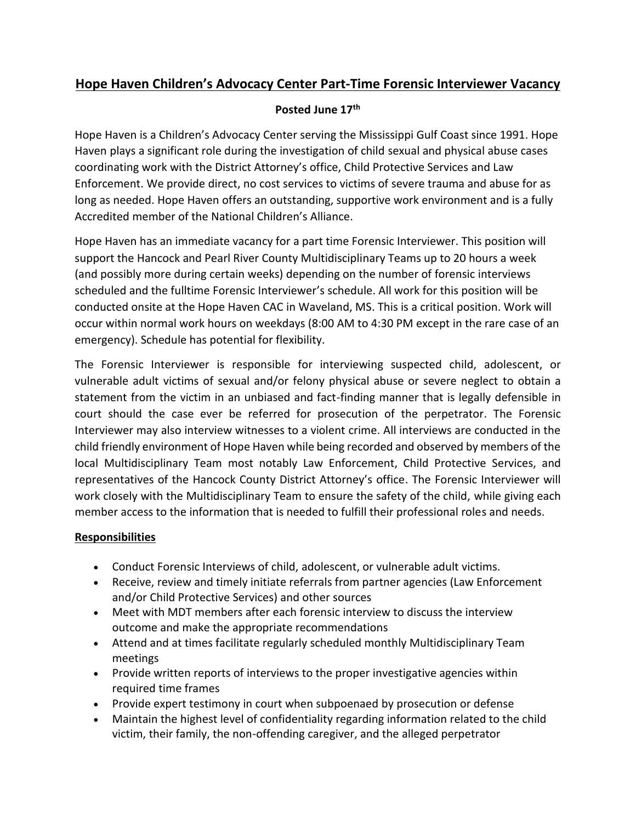# **Hope Haven Children's Advocacy Center Part-Time Forensic Interviewer Vacancy**

#### **Posted June 17th**

Hope Haven is a Children's Advocacy Center serving the Mississippi Gulf Coast since 1991. Hope Haven plays a significant role during the investigation of child sexual and physical abuse cases coordinating work with the District Attorney's office, Child Protective Services and Law Enforcement. We provide direct, no cost services to victims of severe trauma and abuse for as long as needed. Hope Haven offers an outstanding, supportive work environment and is a fully Accredited member of the National Children's Alliance.

Hope Haven has an immediate vacancy for a part time Forensic Interviewer. This position will support the Hancock and Pearl River County Multidisciplinary Teams up to 20 hours a week (and possibly more during certain weeks) depending on the number of forensic interviews scheduled and the fulltime Forensic Interviewer's schedule. All work for this position will be conducted onsite at the Hope Haven CAC in Waveland, MS. This is a critical position. Work will occur within normal work hours on weekdays (8:00 AM to 4:30 PM except in the rare case of an emergency). Schedule has potential for flexibility.

The Forensic Interviewer is responsible for interviewing suspected child, adolescent, or vulnerable adult victims of sexual and/or felony physical abuse or severe neglect to obtain a statement from the victim in an unbiased and fact-finding manner that is legally defensible in court should the case ever be referred for prosecution of the perpetrator. The Forensic Interviewer may also interview witnesses to a violent crime. All interviews are conducted in the child friendly environment of Hope Haven while being recorded and observed by members of the local Multidisciplinary Team most notably Law Enforcement, Child Protective Services, and representatives of the Hancock County District Attorney's office. The Forensic Interviewer will work closely with the Multidisciplinary Team to ensure the safety of the child, while giving each member access to the information that is needed to fulfill their professional roles and needs.

#### **Responsibilities**

- Conduct Forensic Interviews of child, adolescent, or vulnerable adult victims.
- Receive, review and timely initiate referrals from partner agencies (Law Enforcement and/or Child Protective Services) and other sources
- Meet with MDT members after each forensic interview to discuss the interview outcome and make the appropriate recommendations
- Attend and at times facilitate regularly scheduled monthly Multidisciplinary Team meetings
- Provide written reports of interviews to the proper investigative agencies within required time frames
- Provide expert testimony in court when subpoenaed by prosecution or defense
- Maintain the highest level of confidentiality regarding information related to the child victim, their family, the non-offending caregiver, and the alleged perpetrator